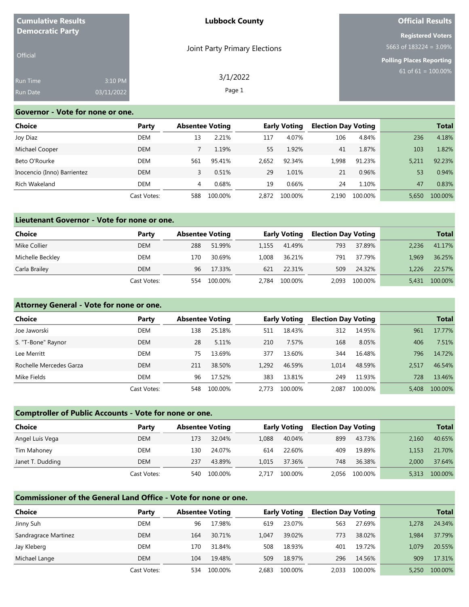| <b>Cumulative Results</b>           |                       | <b>Lubbock County</b>         | <b>Official Results</b>                                                                  |  |  |
|-------------------------------------|-----------------------|-------------------------------|------------------------------------------------------------------------------------------|--|--|
| <b>Democratic Party</b><br>Official |                       | Joint Party Primary Elections | <b>Registered Voters</b><br>5663 of $183224 = 3.09\%$<br><b>Polling Places Reporting</b> |  |  |
| Run Time<br><b>Run Date</b>         | 3:10 PM<br>03/11/2022 | 3/1/2022<br>Page 1            | 61 of 61 = $100.00\%$                                                                    |  |  |

#### **Governor - Vote for none or one.**

| Choice                      | Party       | <b>Absentee Voting</b> |         |       | <b>Early Voting</b> | <b>Election Day Voting</b> |         | <b>Total</b> |         |
|-----------------------------|-------------|------------------------|---------|-------|---------------------|----------------------------|---------|--------------|---------|
| Joy Diaz                    | DEM         | 13                     | 2.21%   | 117   | 4.07%               | 106                        | 4.84%   | 236          | 4.18%   |
| Michael Cooper              | <b>DEM</b>  |                        | 1.19%   | 55    | 1.92%               | 41                         | 1.87%   | 103          | 1.82%   |
| Beto O'Rourke               | DEM         | 561                    | 95.41%  | 2.652 | 92.34%              | 1.998                      | 91.23%  | 5.211        | 92.23%  |
| Inocencio (Inno) Barrientez | <b>DEM</b>  |                        | 0.51%   | 29    | 1.01%               | 21                         | 0.96%   | 53           | 0.94%   |
| Rich Wakeland               | DEM         | 4                      | 0.68%   | 19    | 0.66%               | 24                         | 1.10%   | 47           | 0.83%   |
|                             | Cast Votes: | 588                    | 100.00% | 2.872 | 100.00%             | 2.190                      | 100.00% | 5.650        | 100.00% |

### **Lieutenant Governor - Vote for none or one.**

| <b>Choice</b>    | Party       | <b>Absentee Voting</b> |         |       | <b>Early Voting</b> | <b>Election Day Voting</b> |         |       | <b>Total</b> |
|------------------|-------------|------------------------|---------|-------|---------------------|----------------------------|---------|-------|--------------|
| Mike Collier     | <b>DEM</b>  | 288                    | 51.99%  | 1.155 | 41.49%              | 793                        | 37.89%  | 2.236 | 41.17%       |
| Michelle Beckley | DEM         | 170                    | 30.69%  | 1.008 | 36.21%              | 791                        | 37.79%  | 1.969 | 36.25%       |
| Carla Brailey    | <b>DEM</b>  | 96                     | 17.33%  | 621   | 22.31%              | 509                        | 24.32%  | 1.226 | 22.57%       |
|                  | Cast Votes: | 554                    | 100.00% | 2.784 | 100.00%             | 2.093                      | 100.00% | 5.431 | 100.00%      |

### **Attorney General - Vote for none or one.**

| <b>Choice</b>           | Party       |     | <b>Absentee Voting</b> |       | <b>Early Voting</b> | <b>Election Day Voting</b> |         |       | <b>Total</b> |
|-------------------------|-------------|-----|------------------------|-------|---------------------|----------------------------|---------|-------|--------------|
| Joe Jaworski            | DEM         | 138 | 25.18%                 | 511   | 18.43%              | 312                        | 14.95%  | 961   | 17.77%       |
| S. "T-Bone" Raynor      | <b>DEM</b>  | 28  | 5.11%                  | 210   | 7.57%               | 168                        | 8.05%   | 406   | 7.51%        |
| Lee Merritt             | DEM         | 75. | 13.69%                 | 377   | 13.60%              | 344                        | 16.48%  | 796   | 14.72%       |
| Rochelle Mercedes Garza | <b>DEM</b>  | 211 | 38.50%                 | 1.292 | 46.59%              | 1.014                      | 48.59%  | 2.517 | 46.54%       |
| Mike Fields             | DEM         | 96  | 17.52%                 | 383   | 13.81%              | 249                        | 11.93%  | 728   | 13.46%       |
|                         | Cast Votes: | 548 | 100.00%                | 2.773 | 100.00%             | 2.087                      | 100.00% | 5,408 | 100.00%      |

### **Comptroller of Public Accounts - Vote for none or one.**

| <b>Choice</b>    | Party       |     | <b>Absentee Voting</b> |       | <b>Early Voting</b> |       | <b>Election Day Voting</b> |       | <b>Total</b> |
|------------------|-------------|-----|------------------------|-------|---------------------|-------|----------------------------|-------|--------------|
| Angel Luis Vega  | <b>DEM</b>  | 173 | 32.04%                 | 1.088 | 40.04%              | 899   | 43.73%                     | 2.160 | 40.65%       |
| Tim Mahoney      | DEM         | 130 | 24.07%                 | 614   | 22.60%              | 409   | 19.89%                     | 1.153 | 21.70%       |
| Janet T. Dudding | DEM         | 237 | 43.89%                 | 1.015 | 37.36%              | 748   | 36.38%                     | 2.000 | 37.64%       |
|                  | Cast Votes: | 540 | 100.00%                | 2.717 | 100.00%             | 2.056 | 100.00%                    | 5.313 | 100.00%      |

# **Commissioner of the General Land Office - Vote for none or one.**

| Choice               | Party       | <b>Absentee Voting</b> | <b>Early Voting</b> |       | <b>Election Day Voting</b> |       | <b>Total</b> |       |         |
|----------------------|-------------|------------------------|---------------------|-------|----------------------------|-------|--------------|-------|---------|
| Jinny Suh            | DEM         | 96                     | 17.98%              | 619   | 23.07%                     | 563   | 27.69%       | 1.278 | 24.34%  |
| Sandragrace Martinez | DEM         | 164                    | 30.71%              | 1.047 | 39.02%                     | 773   | 38.02%       | 1.984 | 37.79%  |
| Jay Kleberg          | DEM         | 170                    | 31.84%              | 508   | 18.93%                     | 401   | 19.72%       | 1.079 | 20.55%  |
| Michael Lange        | <b>DEM</b>  | 104                    | 19.48%              | 509   | 18.97%                     | 296   | 14.56%       | 909   | 17.31%  |
|                      | Cast Votes: | 534                    | 100.00%             | 2.683 | 100.00%                    | 2.033 | 100.00%      | 5.250 | 100.00% |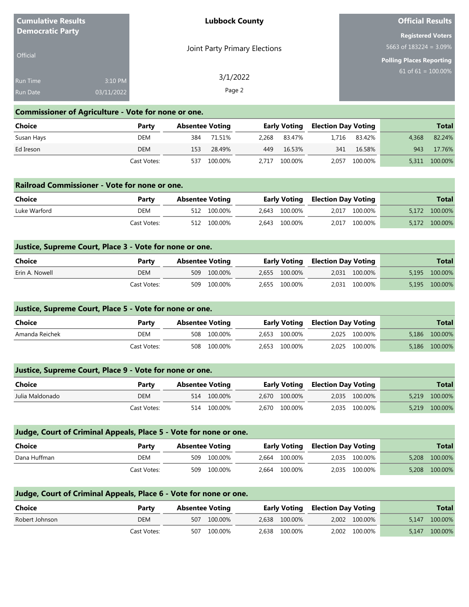| <b>Cumulative Results</b> |            | <b>Lubbock County</b>         | <b>Official Results</b>         |
|---------------------------|------------|-------------------------------|---------------------------------|
| <b>Democratic Party</b>   |            |                               | <b>Registered Voters</b>        |
|                           |            | Joint Party Primary Elections | 5663 of $183224 = 3.09\%$       |
| Official                  |            |                               | <b>Polling Places Reporting</b> |
| <b>Run Time</b>           | 3:10 PM    | 3/1/2022                      | $61 \text{ of } 61 = 100.00\%$  |
| <b>Run Date</b>           | 03/11/2022 | Page 2                        |                                 |
|                           |            |                               |                                 |

#### **Commissioner of Agriculture - Vote for none or one.**

| Choice     | Party       | <b>Absentee Voting</b> |         |       | <b>Early Voting</b> | , Election Day Voting |         |       | <b>Total</b> |
|------------|-------------|------------------------|---------|-------|---------------------|-----------------------|---------|-------|--------------|
| Susan Hays | DEM         | 384                    | 71.51%  |       | 2.268 83.47%        | 1.716                 | 83.42%  | 4.368 | 82.24%       |
| Ed Ireson  | <b>DEM</b>  | 153                    | 28.49%  |       | 449 16.53%          | 341                   | 16.58%  | 943   | 17.76%       |
|            | Cast Votes: | 537                    | 100.00% | 2.717 | 100.00%             | 2,057                 | 100.00% | 5,311 | 100.00%      |

#### **Railroad Commissioner - Vote for none or one.**

| Choice       | Party       | Absentee Voting |             |               |  | <b>Early Voting Election Day Voting</b> |  | <b>Total</b>  |
|--------------|-------------|-----------------|-------------|---------------|--|-----------------------------------------|--|---------------|
| Luke Warford | <b>DEM</b>  |                 | 512 100.00% | 2.643 100.00% |  | 2.017 100.00%                           |  | 5,172 100.00% |
|              | Cast Votes: |                 | 512 100.00% | 2,643 100.00% |  | 2,017 100.00%                           |  | 5.172 100.00% |

#### **Justice, Supreme Court, Place 3 - Vote for none or one.**

| <b>Choice</b>  | Party       | <b>Absentee Voting</b> |             |               |  | <b>Early Voting Election Day Voting</b> |  | <b>Total</b>  |
|----------------|-------------|------------------------|-------------|---------------|--|-----------------------------------------|--|---------------|
| Erin A. Nowell | <b>DEM</b>  |                        | 509 100.00% | 2,655 100.00% |  | 2,031 100.00%                           |  | 5,195 100.00% |
|                | Cast Votes: |                        | 509 100.00% | 2,655 100.00% |  | 2,031 100.00%                           |  | 5,195 100.00% |

# **Justice, Supreme Court, Place 5 - Vote for none or one. Choice Party Absentee Voting Early Voting Election Day Voting Total** Amanda Reichek DEM 508 100.00% 2,653 100.00% 2,025 100.00% 5,186 100.00% Cast Votes: 508 100.00% 2,653 100.00% 2,025 100.00% 5,186 100.00%

|                 | Justice, Supreme Court, Place 9 - Vote for none or one. |                        |               |                                         |               |  |  |  |  |  |  |  |
|-----------------|---------------------------------------------------------|------------------------|---------------|-----------------------------------------|---------------|--|--|--|--|--|--|--|
| Choice          | Party                                                   | <b>Absentee Voting</b> |               | <b>Early Voting Election Day Voting</b> | <b>Total</b>  |  |  |  |  |  |  |  |
| Julia Maldonado | DEM                                                     | 514 100.00%            | 2.670 100.00% | 2,035 100.00%                           | 5,219 100.00% |  |  |  |  |  |  |  |
|                 | Cast Votes:                                             | 514 100.00%            | 2.670 100.00% | 2,035 100.00%                           | 5,219 100.00% |  |  |  |  |  |  |  |

| Judge, Court of Criminal Appeals, Place 5 - Vote for none or one. |             |                        |             |               |                                         |               |       |              |
|-------------------------------------------------------------------|-------------|------------------------|-------------|---------------|-----------------------------------------|---------------|-------|--------------|
| Choice                                                            | Party       | <b>Absentee Voting</b> |             |               | <b>Early Voting Election Day Voting</b> |               |       | <b>Total</b> |
| Dana Huffman                                                      | DEM         |                        | 509 100.00% | 2.664 100.00% |                                         | 2.035 100.00% | 5.208 | 100.00%      |
|                                                                   | Cast Votes: |                        | 509 100.00% | 2.664 100.00% |                                         | 2.035 100.00% | 5,208 | 100.00%      |

# **Judge, Court of Criminal Appeals, Place 6 - Vote for none or one.**

| Choice         | Party       | <b>Absentee Voting</b> |             | <b>Early Voting</b> |               | Election Day Voting |               |       | <b>Total</b> |
|----------------|-------------|------------------------|-------------|---------------------|---------------|---------------------|---------------|-------|--------------|
| Robert Johnson | <b>DEM</b>  |                        | 507 100.00% |                     | 2,638 100.00% |                     | 2,002 100.00% | 5.147 | 100.00%      |
|                | Cast Votes: | 507                    | 100.00%     |                     | 2,638 100.00% |                     | 2,002 100.00% | 5.147 | 100.00%      |